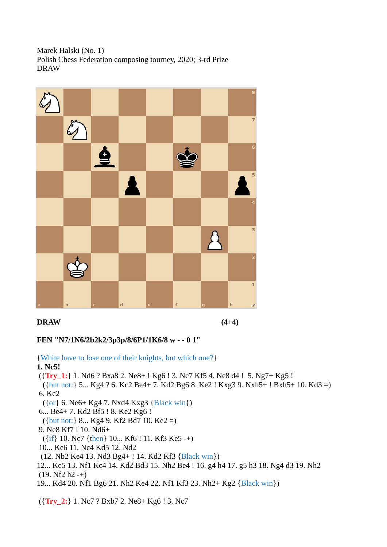Marek Halski (No. 1) Polish Chess Federation composing tourney, 2020; 3-rd Prize DRAW



#### **DRAW (4+4)**

## **FEN "N7/1N6/2b2k2/3p3p/8/6P1/1K6/8 w - - 0 1"**

{White have to lose one of their knights, but which one?}

#### **1. Nc5!**

({**Try\_1:**} 1. Nd6 ? Bxa8 2. Ne8+ ! Kg6 ! 3. Nc7 Kf5 4. Ne8 d4 ! 5. Ng7+ Kg5 !

 ({but not:} 5... Kg4 ? 6. Kc2 Be4+ 7. Kd2 Bg6 8. Ke2 ! Kxg3 9. Nxh5+ ! Bxh5+ 10. Kd3 =) 6. Kc2

- ({or} 6. Ne6+ Kg4 7. Nxd4 Kxg3 {Black win})
- 6... Be4+ 7. Kd2 Bf5 ! 8. Ke2 Kg6 !
- ({but not:} 8... Kg4 9. Kf2 Bd7 10. Ke2 =)
- 9. Ne8 Kf7 ! 10. Nd6+
- ({if} 10. Nc7 {then} 10... Kf6 ! 11. Kf3 Ke5 -+)
- 10... Ke6 11. Nc4 Kd5 12. Nd2
- (12. Nb2 Ke4 13. Nd3 Bg4+ ! 14. Kd2 Kf3 {Black win})
- 12... Kc5 13. Nf1 Kc4 14. Kd2 Bd3 15. Nh2 Be4 ! 16. g4 h4 17. g5 h3 18. Ng4 d3 19. Nh2  $(19. Nf2 h2 -+)$
- 19... Kd4 20. Nf1 Bg6 21. Nh2 Ke4 22. Nf1 Kf3 23. Nh2+ Kg2 {Black win})

({**Try\_2:**} 1. Nc7 ? Bxb7 2. Ne8+ Kg6 ! 3. Nc7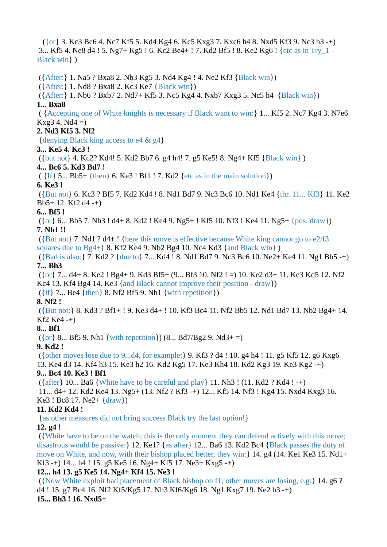({or} 3. Kc3 Bc6 4. Nc7 Kf5 5. Kd4 Kg4 6. Kc5 Kxg3 7. Kxc6 h4 8. Nxd5 Kf3 9. Nc3 h3 -+) 3... Kf5 4. Ne8 d4 ! 5. Ng7+ Kg5 ! 6. Kc2 Be4+ ! 7. Kd2 Bf5 ! 8. Ke2 Kg6 ! {etc as in Try\_1 - Black win} )

 ({After:} 1. Na5 ? Bxa8 2. Nb3 Kg5 3. Nd4 Kg4 ! 4. Ne2 Kf3 {Black win}) ({After:} 1. Nd8 ? Bxa8 2. Kc3 Ke7 {Black win}) ({After:} 1. Nb6 ? Bxb7 2. Nd7+ Kf5 3. Nc5 Kg4 4. Nxb7 Kxg3 5. Nc5 h4 {Black win}) **1... Bxa8** ( {Accepting one of White knights is necessary if Black want to win:} 1... Kf5 2. Nc7 Kg4 3. N7e6  $Kxg3 4. Nd4 =$ **2. Nd3 Kf5 3. Nf2** {denying Black king access to e4 & g4} **3... Ke5 4. Kc3 !** ({but not} 4. Kc2? Kd4! 5. Kd2 Bb7 6. g4 h4! 7. g5 Ke5! 8. Ng4+ Kf5 {Black win} ) **4... Bc6 5. Kd3 Bd7 !**  $({\{If\} 5... Bb5+ {\{then\} 6. Ke3! Bf1! 7. Kd2 \{etc as in the main solution\}})$ **6. Ke3 !** ({But not} 6. Kc3 ? Bf5 7. Kd2 Kd4 ! 8. Nd1 Bd7 9. Nc3 Bc6 10. Nd1 Ke4 {thr. 11... Kf3} 11. Ke2

Bb5+ 12. Kf2 d4 -+)

## **6... Bf5 !**

 ({or} 6... Bb5 7. Nh3 ! d4+ 8. Kd2 ! Ke4 9. Ng5+ ! Kf5 10. Nf3 ! Ke4 11. Ng5+ {pos. draw}) **7. Nh1 !!**

 ({But not} 7. Nd1 ? d4+ ! {here this move is effective because White king cannot go to e2/f3 squares due to  $Bg4+$  8. Kf2 Ke4 9. Nb2 Bg4 10. Nc4 Kd3 {and Black win })

 ({Bad is also:} 7. Kd2 ? {due to} 7... Kd4 ! 8. Nd1 Bd7 9. Nc3 Bc6 10. Ne2+ Ke4 11. Ng1 Bb5 -+) **7... Bh3**

 ({or} 7... d4+ 8. Ke2 ! Bg4+ 9. Kd3 Bf5+ (9... Bf3 10. Nf2 ! =) 10. Ke2 d3+ 11. Ke3 Kd5 12. Nf2 Kc4 13. Kf4 Bg4 14. Ke3 {and Black cannot improve their position - draw})

 $({\{ \text{if} \} 7... Be4 \{ \text{then} \} 8. Nf2 Bf5 9. Nh1 \{ \text{with repetition} \})$ 

## **8. Nf2 !**

 ({But not:} 8. Kd3 ? Bf1+ ! 9. Ke3 d4+ ! 10. Kf3 Bc4 11. Nf2 Bb5 12. Nd1 Bd7 13. Nb2 Bg4+ 14. Kf2 Ke4 -+)

## **8... Bf1**

 $({or} 8... Bf5 9. Nh1 {with repetition}) (8... Bd7/Bg2 9. Nd3+ =)$ 

## **9. Kd2 !**

 ({other moves lose due to 9...d4, for example:} 9. Kf3 ? d4 ! 10. g4 h4 ! 11. g5 Kf5 12. g6 Kxg6 13. Ke4 d3 14. Kf4 h3 15. Ke3 h2 16. Kd2 Kg5 17. Ke3 Kh4 18. Kd2 Kg3 19. Ke3 Kg2 -+)

## **9... Bc4 10. Ke3 ! Bf1**

 $({$  {after } 10... Ba6  ${$  White have to be careful and play  ${11}$ . Nh3  ${!}$  (11. Kd2  ${?}$  Kd4  ${!}$  -+) 11... d4+ 12. Kd2 Ke4 13. Ng5+ (13. Nf2 ? Kf3 -+) 12... Kf5 14. Nf3 ! Kg4 15. Nxd4 Kxg3 16. Ke3 ! Bc8 17. Ne2+ {draw})

## **11. Kd2 Kd4 !**

{as other measures did not bring success Black try the last option!}

## **12. g4 !**

 ({White have to be on the watch; this is the only moment they can defend actively with this move; disastrous would be passive:} 12. Ke1? {as after} 12... Ba6 13. Kd2 Bc4 {Black passes the duty of move on White, and now, with their bishop placed better, they win:} 14. g4 (14. Ke1 Ke3 15. Nd1+ Kf3 -+) 14... h4 ! 15. g5 Ke5 16. Ng4+ Kf5 17. Ne3+ Kxg5 -+)

# **12... h4 13. g5 Ke5 14. Ng4+ Kf4 15. Ne3 !**

 ({Now White exploit bad placement of Black bishop on f1; other moves are losing, e.g:} 14. g6 ? d4 ! 15. g7 Bc4 16. Nf2 Kf5/Kg5 17. Nh3 Kf6/Kg6 18. Ng1 Kxg7 19. Ne2 h3 -+) **15... Bh3 ! 16. Nxd5+**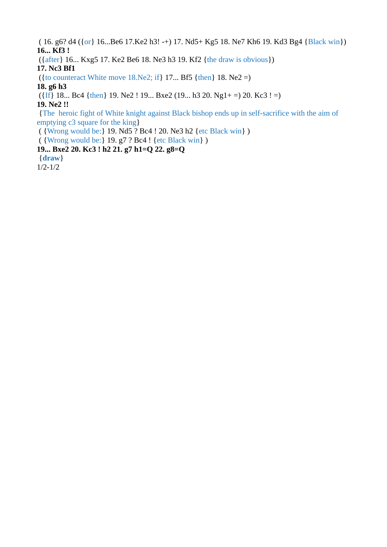( 16. g6? d4 ({or} 16...Be6 17.Ke2 h3! -+) 17. Nd5+ Kg5 18. Ne7 Kh6 19. Kd3 Bg4 {Black win}) **16... Kf3 !**

({after} 16... Kxg5 17. Ke2 Be6 18. Ne3 h3 19. Kf2 {the draw is obvious})

**17. Nc3 Bf1**

( $\{$  to counteract White move 18.Ne2; if $\}$  17... Bf5  $\{$  then $\}$  18. Ne2 =)

**18. g6 h3** 

 $({\text{If}} 18... \text{ Bc4 } {\text{then}} 19. \text{ Ne2 } 19... \text{ Bxe2 } (19... \text{ h3 } 20. \text{ Ng1+ } =) 20. \text{ Kc3 } !=)$ 

**19. Ne2 !!**

 {The heroic fight of White knight against Black bishop ends up in self-sacrifice with the aim of emptying c3 square for the king}

( {Wrong would be:} 19. Nd5 ? Bc4 ! 20. Ne3 h2 {etc Black win} )

( {Wrong would be:} 19. g7 ? Bc4 ! {etc Black win} )

**19... Bxe2 20. Kc3 ! h2 21. g7 h1=Q 22. g8=Q**

{**draw**}

1/2-1/2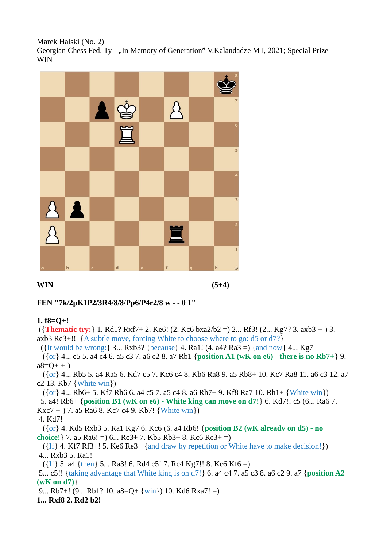Marek Halski (No. 2) Georgian Chess Fed. Ty - "In Memory of Generation" V.Kalandadze MT, 2021; Special Prize WIN



#### **WIN (5+4)**

#### **FEN "7k/2pK1P2/3R4/8/8/Pp6/P4r2/8 w - - 0 1"**

#### **1. f8=Q+!**

 ({**Thematic try:**} 1. Rd1? Rxf7+ 2. Ke6! (2. Kc6 bxa2/b2 =) 2... Rf3! (2... Kg7? 3. axb3 +-) 3. axb3 Re3+!! {A subtle move, forcing White to choose where to go: d5 or d7?}

({It would be wrong:} 3... Rxb3? {because} 4. Ra1!  $(4. a4? Ra3 =)$  {and now} 4... Kg7

 ({or} 4... c5 5. a4 c4 6. a5 c3 7. a6 c2 8. a7 Rb1 {**position A1 (wK on e6) - there is no Rb7+**} 9.  $a8=Q^+$  +-)

 ({or} 4... Rb5 5. a4 Ra5 6. Kd7 c5 7. Kc6 c4 8. Kb6 Ra8 9. a5 Rb8+ 10. Kc7 Ra8 11. a6 c3 12. a7 c2 13. Kb7 {White win})

 $({or} 4... Rb6+ 5. Kf7 Rh6 6. a4 c5 7. a5 c4 8. a6 Rh7+ 9. Kf8 Ra7 10. Rh1+ {White win})$ 

 5. a4! Rb6+ {**position B1 (wK on e6) - White king can move on d7!**} 6. Kd7!! c5 (6... Ra6 7. Kxc7 +-) 7. a5 Ra6 8. Kc7 c4 9. Kb7! {White win})

4. Kd7!

 ({or} 4. Kd5 Rxb3 5. Ra1 Kg7 6. Kc6 (6. a4 Rb6! {**position B2 (wK already on d5) - no choice!**} 7. a5 Ra6! =) 6... Rc3+ 7. Kb5 Rb3+ 8. Kc6 Rc3+ =)

 ({If} 4. Kf7 Rf3+! 5. Ke6 Re3+ {and draw by repetition or White have to make decision!}) 4... Rxb3 5. Ra1!

 $({\text{If}}\}$  5. a4  ${\text{then}}\}$  5... Ra3! 6. Rd4 c5! 7. Rc4 Kg7!! 8. Kc6 Kf6 =)

 5... c5!! {taking advantage that White king is on d7!} 6. a4 c4 7. a5 c3 8. a6 c2 9. a7 {**position A2 (wK on d7)**}

9... Rb7+! (9... Rb1? 10. a8=Q+ {win}) 10. Kd6 Rxa7! =)

**1... Rxf8 2. Rd2 b2!**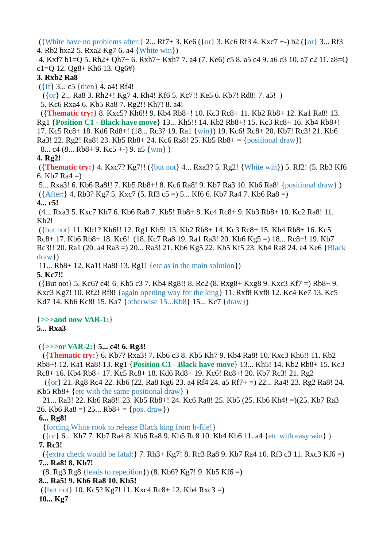({White have no problems after:} 2... Rf7+ 3. Ke6 ({or} 3. Kc6 Rf3 4. Kxc7 +-) b2 ({or} 3... Rf3 4. Rb2 bxa2 5. Rxa2 Kg7 6. a4 {White win})

 4. Kxf7 b1=Q 5. Rh2+ Qh7+ 6. Rxh7+ Kxh7 7. a4 (7. Ke6) c5 8. a5 c4 9. a6 c3 10. a7 c2 11. a8=Q c1=Q 12. Qg8+ Kh6 13. Qg6#)

#### **3. Rxb2 Ra8**

 $({\text{If}} 3... c5 {\text{then}} 4. a4! Rf4!$ 

({or} 2... Ra8 3. Rh2+! Kg7 4. Rh4! Kf6 5. Kc7!! Ke5 6. Kb7! Rd8! 7. a5! )

5. Kc6 Rxa4 6. Kb5 Ra8 7. Rg2!! Kh7! 8. a4!

 ({**Thematic try:**} 8. Kxc5? Kh6!! 9. Kb4 Rb8+! 10. Kc3 Rc8+ 11. Kb2 Rb8+ 12. Ka1 Ra8! 13. Rg1 {**Position C1 - Black have move**} 13... Kh5!! 14. Kb2 Rb8+! 15. Kc3 Rc8+ 16. Kb4 Rb8+! 17. Kc5 Rc8+ 18. Kd6 Rd8+! (18... Rc3? 19. Ra1 {win}) 19. Kc6! Rc8+ 20. Kb7! Rc3! 21. Kb6 Ra3! 22. Rg2! Ra8! 23. Kb5 Rb8+ 24. Kc6 Ra8! 25. Kb5 Rb8+ = {positional draw})

8... c4 (8... Rb8+ 9. Kc5 +-) 9. a5  $\{win\}$ )

#### **4. Rg2!**

 ({**Thematic try:**} 4. Kxc7? Kg7!! ({but not} 4... Rxa3? 5. Rg2! {White win}) 5. Rf2! (5. Rb3 Kf6 6. Kb7 Ra4 =)

 5... Rxa3! 6. Kb6 Ra8!! 7. Kb5 Rb8+! 8. Kc6 Ra8! 9. Kb7 Ra3 10. Kb6 Ra8! {positional draw} ) ({After:} 4. Rb3? Kg7 5. Kxc7 (5. Rf3 c5 =) 5... Kf6 6. Kb7 Ra4 7. Kb6 Ra8 =) **4... c5!**

 (4... Rxa3 5. Kxc7 Kh7 6. Kb6 Ra8 7. Kb5! Rb8+ 8. Kc4 Rc8+ 9. Kb3 Rb8+ 10. Kc2 Ra8! 11. Kb2!

 ({but not} 11. Kb1? Kh6!! 12. Rg1 Kh5! 13. Kb2 Rb8+ 14. Kc3 Rc8+ 15. Kb4 Rb8+ 16. Kc5 Rc8+ 17. Kb6 Rb8+ 18. Kc6! (18. Kc7 Ra8 19. Ra1 Ra3! 20. Kb6 Kg5 =) 18... Rc8+! 19. Kb7 Rc3!! 20. Ra1 (20. a4 Ra3 =) 20... Ra3! 21. Kb6 Kg5 22. Kb5 Kf5 23. Kb4 Ra8 24. a4 Ke6 {Black draw})

11... Rb8+ 12. Ka1! Ra8! 13. Rg1! {etc as in the main solution})

#### **5. Kc7!!**

 ({But not} 5. Kc6? c4! 6. Kb5 c3 7. Kb4 Rg8!! 8. Rc2 (8. Rxg8+ Kxg8 9. Kxc3 Kf7 =) Rb8+ 9. Kxc3 Kg7! 10. Rf2! Rf8! {again opening way for the king} 11. Rxf8 Kxf8 12. Kc4 Ke7 13. Kc5 Kd7 14. Kb6 Kc8! 15. Ka7 {otherwise 15...Kb8} 15... Kc7 {draw})

#### {**>>>and now VAR-1:**}

#### **5... Rxa3**

## ({**>>>or VAR-2:**} **5... c4! 6. Rg3!**

 ({**Thematic try:**} 6. Kb7? Rxa3! 7. Kb6 c3 8. Kb5 Kh7 9. Kb4 Ra8! 10. Kxc3 Kh6!! 11. Kb2 Rb8+! 12. Ka1 Ra8! 13. Rg1 {**Position C1 - Black have move**} 13... Kh5! 14. Kb2 Rb8+ 15. Kc3 Rc8+ 16. Kb4 Rb8+ 17. Kc5 Rc8+ 18. Kd6 Rd8+ 19. Kc6! Rc8+! 20. Kb7 Rc3! 21. Rg2

 ({or} 21. Rg8 Rc4 22. Kb6 (22. Ra8 Kg6 23. a4 Rf4 24. a5 Rf7+ =) 22... Ra4! 23. Rg2 Ra8! 24. Kb5 Rb8+ {etc with the same positional draw} )

 21... Ra3! 22. Kb6 Ra8!! 23. Kb5 Rb8+! 24. Kc6 Ra8! 25. Kb5 (25. Kb6 Kh4! =)(25. Kb7 Ra3 26. Kb6 Ra8 =  $(25... Rb8 + 5)$  (pos. draw)

#### **6... Rg8!**

{forcing White rook to release Black king from h-file!}

 ({or} 6... Kh7 7. Kb7 Ra4 8. Kb6 Ra8 9. Kb5 Rc8 10. Kb4 Kh6 11. a4 {etc with easy win} ) **7. Rc3!**

 ({extra check would be fatal:} 7. Rh3+ Kg7! 8. Rc3 Ra8 9. Kb7 Ra4 10. Rf3 c3 11. Rxc3 Kf6 =) **7... Ra8! 8. Kb7!**

(8. Rg3 Rg8 {leads to repetition}) (8. Kb6? Kg7! 9. Kb5 Kf6 =)

 **8... Ra5! 9. Kb6 Ra8 10. Kb5!**

({but not} 10. Kc5? Kg7! 11. Kxc4 Rc8+ 12. Kb4 Rxc3 =)

**10... Kg7**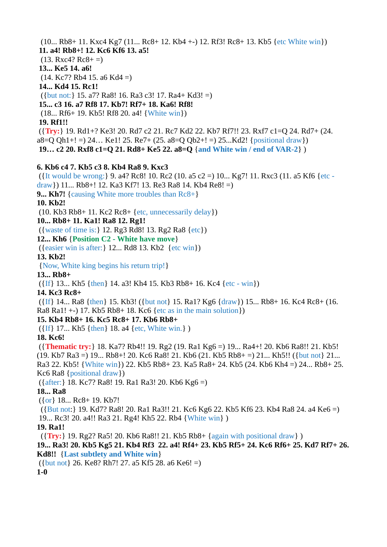(10... Rb8+ 11. Kxc4 Kg7 (11... Rc8+ 12. Kb4 +-) 12. Rf3! Rc8+ 13. Kb5 {etc White win}) **11. a4! Rb8+! 12. Kc6 Kf6 13. a5!**  $(13. \, \text{Rxc4?} \, \text{Rc8+ =})$ **13... Ke5 14. a6!** (14. Kc7? Rb4 15. a6 Kd4 =) **14... Kd4 15. Rc1!** ({but not:} 15. a7? Ra8! 16. Ra3 c3! 17. Ra4+ Kd3! =) **15... c3 16. a7 Rf8 17. Kb7! Rf7+ 18. Ka6! Rf8!** (18... Rf6+ 19. Kb5! Rf8 20. a4! {White win}) **19. Rf1!!** ({**Try:**} 19. Rd1+? Ke3! 20. Rd7 c2 21. Rc7 Kd2 22. Kb7 Rf7!! 23. Rxf7 c1=Q 24. Rd7+ (24.  $a8=Q Qh1+! = 24...$  Ke1! 25. Re7+ (25.  $a8=Q Qb2+! = 25...$ Kd2! {positional draw})  **19… c2 20. Rxf8 c1=Q 21. Rd8+ Ke5 22. a8=Q** {**and White win / end of VAR-2**} ) **6. Kb6 c4 7. Kb5 c3 8. Kb4 Ra8 9. Kxc3** ({It would be wrong:} 9. a4? Rc8! 10. Rc2 (10. a5 c2 =) 10... Kg7! 11. Rxc3 (11. a5 Kf6 {etc draw}) 11... Rb8+! 12. Ka3 Kf7! 13. Re3 Ra8 14. Kb4 Re8! =) **9... Kh7!** {causing White more troubles than Rc8+} **10. Kb2!**  $(10. Kb3 Rb8+ 11. Kc2 Rc8+ {etc.}$  unnecessarily delay}) **10... Rb8+ 11. Ka1! Ra8 12. Rg1!** ({waste of time is:} 12. Rg3 Rd8! 13. Rg2 Ra8 {etc}) **12... Kh6** {**Position C2 - White have move**} ({easier win is after:} 12... Rd8 13. Kb2 {etc win}) **13. Kb2!** {Now, White king begins his return trip!} **13... Rb8+**  $({\{If\}} 13...$  Kh5  ${\{then\}} 14.$  a3! Kh4 15. Kb3 Rb8+ 16. Kc4  ${\{etc - win\}}$ **14. Kc3 Rc8+** ({If} 14... Ra8 {then} 15. Kb3! ({but not} 15. Ra1? Kg6 {draw}) 15... Rb8+ 16. Kc4 Rc8+ (16. Ra8 Ra1! +-) 17. Kb5 Rb8+ 18. Kc6 {etc as in the main solution}) **15. Kb4 Rb8+ 16. Kc5 Rc8+ 17. Kb6 Rb8+** ({If} 17... Kh5 {then} 18. a4 {etc, White win.} ) **18. Kc6!** ({**Thematic try:**} 18. Ka7? Rb4!! 19. Rg2 (19. Ra1 Kg6 =) 19... Ra4+! 20. Kb6 Ra8!! 21. Kb5! (19. Kb7 Ra3 =) 19... Rb8+! 20. Kc6 Ra8! 21. Kb6 (21. Kb5 Rb8+ =) 21... Kh5!! ({but not} 21... Ra3 22. Kb5! {White win}) 22. Kb5 Rb8+ 23. Ka5 Ra8+ 24. Kb5 (24. Kb6 Kh4 =) 24... Rb8+ 25. Kc6 Ra8 {positional draw}) ({after:} 18. Kc7? Ra8! 19. Ra1 Ra3! 20. Kb6 Kg6 =) **18... Ra8** ({or} 18... Rc8+ 19. Kb7! ({But not:} 19. Kd7? Ra8! 20. Ra1 Ra3!! 21. Kc6 Kg6 22. Kb5 Kf6 23. Kb4 Ra8 24. a4 Ke6 =) 19... Rc3! 20. a4!! Ra3 21. Rg4! Kh5 22. Rb4 {White win} ) **19. Ra1!** ({**Try:**} 19. Rg2? Ra5! 20. Kb6 Ra8!! 21. Kb5 Rb8+ {again with positional draw} ) **19... Ra3! 20. Kb5 Kg5 21. Kb4 Rf3 22. a4! Rf4+ 23. Kb5 Rf5+ 24. Kc6 Rf6+ 25. Kd7 Rf7+ 26. Kd8!!** {**Last subtlety and White win**} ({but not} 26. Ke8? Rh7! 27. a5 Kf5 28. a6 Ke6! =) **1-0**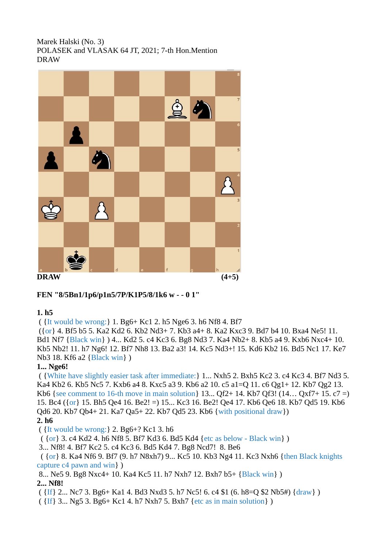#### Marek Halski (No. 3) POLASEK and VLASAK 64 JT, 2021; 7-th Hon.Mention DRAW



## **FEN "8/5Bn1/1p6/p1n5/7P/K1P5/8/1k6 w - - 0 1"**

#### **1. h5**

( {It would be wrong:} 1. Bg6+ Kc1 2. h5 Nge6 3. h6 Nf8 4. Bf7

 ({or} 4. Bf5 b5 5. Ka2 Kd2 6. Kb2 Nd3+ 7. Kb3 a4+ 8. Ka2 Kxc3 9. Bd7 b4 10. Bxa4 Ne5! 11. Bd1 Nf7 {Black win} ) 4... Kd2 5. c4 Kc3 6. Bg8 Nd3 7. Ka4 Nb2+ 8. Kb5 a4 9. Kxb6 Nxc4+ 10. Kb5 Nb2! 11. h7 Ng6! 12. Bf7 Nh8 13. Ba2 a3! 14. Kc5 Nd3+! 15. Kd6 Kb2 16. Bd5 Nc1 17. Ke7 Nb3 18. Kf6 a2 {Black win} )

## **1... Nge6!**

 ( {White have slightly easier task after immediate:} 1... Nxh5 2. Bxh5 Kc2 3. c4 Kc3 4. Bf7 Nd3 5. Ka4 Kb2 6. Kb5 Nc5 7. Kxb6 a4 8. Kxc5 a3 9. Kb6 a2 10. c5 a1=Q 11. c6 Qg1+ 12. Kb7 Qg2 13. Kb6 {see comment to 16-th move in main solution} 13... Qf2+ 14. Kb7 Qf3! (14… Qxf7+ 15. c7 =) 15. Bc4 ({or} 15. Bh5 Qe4 16. Be2! =) 15... Kc3 16. Be2! Qe4 17. Kb6 Qe6 18. Kb7 Qd5 19. Kb6 Qd6 20. Kb7 Qb4+ 21. Ka7 Qa5+ 22. Kb7 Qd5 23. Kb6 {with positional draw})

#### **2. h6**

( {It would be wrong:} 2. Bg6+? Kc1 3. h6

( {or} 3. c4 Kd2 4. h6 Nf8 5. Bf7 Kd3 6. Bd5 Kd4 {etc as below - Black win} )

3... Nf8! 4. Bf7 Kc2 5. c4 Kc3 6. Bd5 Kd4 7. Bg8 Ncd7! 8. Be6

 ( {or} 8. Ka4 Nf6 9. Bf7 (9. h7 N8xh7) 9... Kc5 10. Kb3 Ng4 11. Kc3 Nxh6 {then Black knights capture c4 pawn and win} )

8... Ne5 9. Bg8 Nxc4+ 10. Ka4 Kc5 11. h7 Nxh7 12. Bxh7 b5+ {Black win} )

## **2... Nf8!**

 $({\{If\}} 2... NC 7 3. Bg6+ Ka1 4. Bd3 Nxd3 5. h7 NC5! 6. c4 $1 (6. h8=Q $2 Nb5#) {draw} )$ 

( {If} 3... Ng5 3. Bg6+ Kc1 4. h7 Nxh7 5. Bxh7 {etc as in main solution} )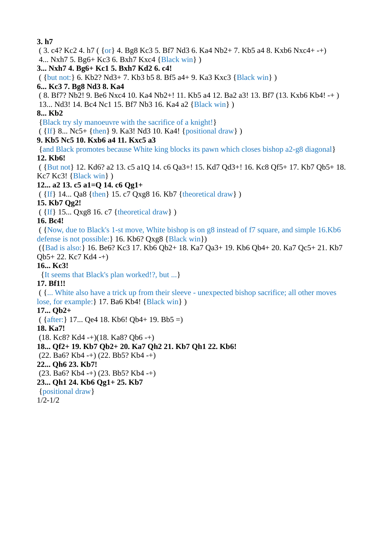**3. h7** ( 3. c4? Kc2 4. h7 ( {or} 4. Bg8 Kc3 5. Bf7 Nd3 6. Ka4 Nb2+ 7. Kb5 a4 8. Kxb6 Nxc4+ -+) 4... Nxh7 5. Bg6+ Kc3 6. Bxh7 Kxc4 {Black win} ) **3... Nxh7 4. Bg6+ Kc1 5. Bxh7 Kd2 6. c4!** ( {but not:} 6. Kb2? Nd3+ 7. Kb3 b5 8. Bf5 a4+ 9. Ka3 Kxc3 {Black win} ) **6... Kc3 7. Bg8 Nd3 8. Ka4** ( 8. Bf7? Nb2! 9. Be6 Nxc4 10. Ka4 Nb2+! 11. Kb5 a4 12. Ba2 a3! 13. Bf7 (13. Kxb6 Kb4! -+ ) 13... Nd3! 14. Bc4 Nc1 15. Bf7 Nb3 16. Ka4 a2 {Black win} ) **8... Kb2** {Black try sly manoeuvre with the sacrifice of a knight!} ( {If} 8... Nc5+ {then} 9. Ka3! Nd3 10. Ka4! {positional draw} ) **9. Kb5 Nc5 10. Kxb6 a4 11. Kxc5 a3** {and Black promotes because White king blocks its pawn which closes bishop a2-g8 diagonal} **12. Kb6!** ( {But not} 12. Kd6? a2 13. c5 a1Q 14. c6 Qa3+! 15. Kd7 Qd3+! 16. Kc8 Qf5+ 17. Kb7 Qb5+ 18. Kc7 Kc3! {Black win} ) **12... a2 13. c5 a1=Q 14. c6 Qg1+** ( {If} 14... Qa8 {then} 15. c7 Qxg8 16. Kb7 {theoretical draw} ) **15. Kb7 Qg2!** ( {If} 15... Qxg8 16. c7 {theoretical draw} ) **16. Bc4!** ( {Now, due to Black's 1-st move, White bishop is on g8 instead of f7 square, and simple 16.Kb6 defense is not possible:} 16. Kb6? Qxg8 {Black win}) ({Bad is also:} 16. Be6? Kc3 17. Kb6 Qb2+ 18. Ka7 Qa3+ 19. Kb6 Qb4+ 20. Ka7 Qc5+ 21. Kb7 Qb5+ 22. Kc7 Kd4 -+) **16... Kc3!** {It seems that Black's plan worked!?, but ...} **17. Bf1!!** ( {... White also have a trick up from their sleeve - unexpected bishop sacrifice; all other moves lose, for example: } 17. Ba6 Kb4! {Black win} ) **17... Qb2+**  $({$  {after:} 17... Qe4 18. Kb6! Qb4+ 19. Bb5 =) **18. Ka7!**  $(18. Kc8? Kd4 - 1)(18. Ka8? Qb6 - 1)$ **18... Qf2+ 19. Kb7 Qb2+ 20. Ka7 Qh2 21. Kb7 Qh1 22. Kb6!** (22. Ba6? Kb4 -+) (22. Bb5? Kb4 -+) **22... Qh6 23. Kb7!** (23. Ba6? Kb4 -+) (23. Bb5? Kb4 -+) **23... Qh1 24. Kb6 Qg1+ 25. Kb7** {positional draw} 1/2-1/2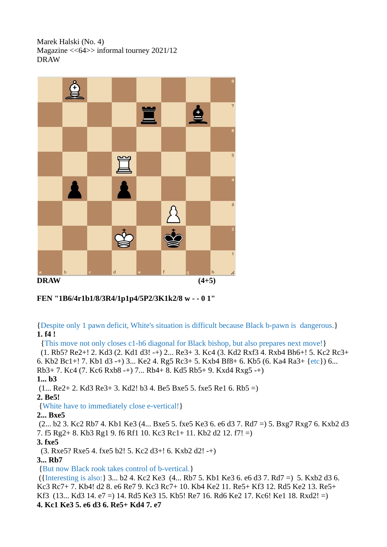Marek Halski (No. 4) Magazine <<64>> informal tourney 2021/12 DRAW



## **FEN "1B6/4r1b1/8/3R4/1p1p4/5P2/3K1k2/8 w - - 0 1"**

{Despite only 1 pawn deficit, White's situation is difficult because Black b-pawn is dangerous.} **1. f4 !**

{This move not only closes c1-h6 diagonal for Black bishop, but also prepares next move!}

 (1. Rb5? Re2+! 2. Kd3 (2. Kd1 d3! -+) 2... Re3+ 3. Kc4 (3. Kd2 Rxf3 4. Rxb4 Bh6+! 5. Kc2 Rc3+ 6. Kb2 Bc1+! 7. Kb1 d3 -+) 3... Ke2 4. Rg5 Rc3+ 5. Kxb4 Bf8+ 6. Kb5 (6. Ka4 Ra3+ {etc}) 6... Rb3+ 7. Kc4 (7. Kc6 Rxb8 -+) 7... Rb4+ 8. Kd5 Rb5+ 9. Kxd4 Rxg5 -+)

**1... b3**

 $(1...$  Re2+ 2. Kd3 Re3+ 3. Kd2! b3 4. Be5 Bxe5 5. fxe5 Re1 6. Rb5 =)

**2. Be5!**

{White have to immediately close e-vertical!}

**2... Bxe5**

 (2... b2 3. Kc2 Rb7 4. Kb1 Ke3 (4... Bxe5 5. fxe5 Ke3 6. e6 d3 7. Rd7 =) 5. Bxg7 Rxg7 6. Kxb2 d3 7. f5 Rg2+ 8. Kb3 Rg1 9. f6 Rf1 10. Kc3 Rc1+ 11. Kb2 d2 12. f7! =)

**3. fxe5**

(3. Rxe5? Rxe5 4. fxe5 b2! 5. Kc2 d3+! 6. Kxb2 d2! -+)

**3... Rb7**

{But now Black rook takes control of b-vertical.}

 ({Interesting is also:} 3... b2 4. Kc2 Ke3 (4... Rb7 5. Kb1 Ke3 6. e6 d3 7. Rd7 =) 5. Kxb2 d3 6. Kc3 Rc7+ 7. Kb4! d2 8. e6 Re7 9. Kc3 Rc7+ 10. Kb4 Ke2 11. Re5+ Kf3 12. Rd5 Ke2 13. Re5+ Kf3 (13... Kd3 14. e7 =) 14. Rd5 Ke3 15. Kb5! Re7 16. Rd6 Ke2 17. Kc6! Ke1 18. Rxd2! =) **4. Kc1 Ke3 5. e6 d3 6. Re5+ Kd4 7. e7**